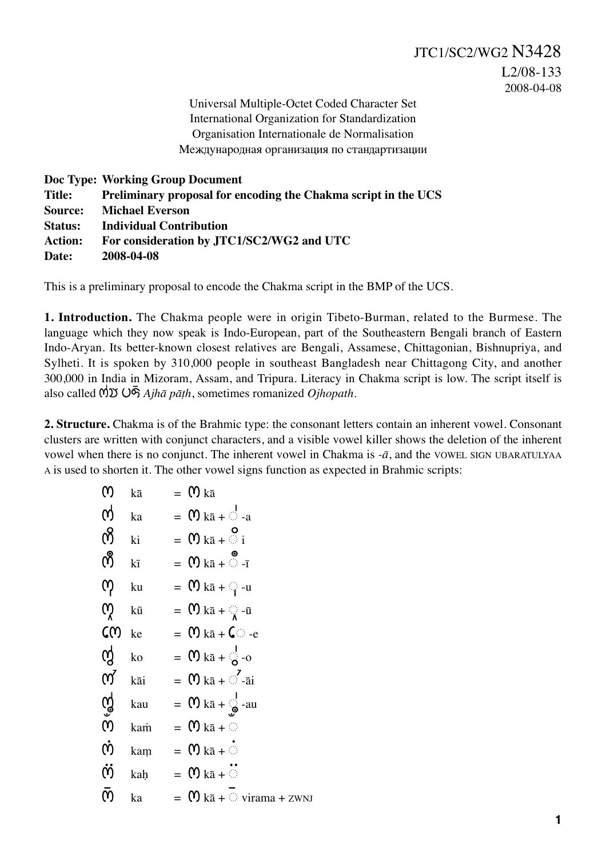Universal Multiple-Octet Coded Character Set International Organization for Standardization Organisation Internationale de Normalisation Международная организация по стандартизации

|                | Doc Type: Working Group Document                               |
|----------------|----------------------------------------------------------------|
| Title:         | Preliminary proposal for encoding the Chakma script in the UCS |
| <b>Source:</b> | <b>Michael Everson</b>                                         |
| <b>Status:</b> | <b>Individual Contribution</b>                                 |
| <b>Action:</b> | For consideration by JTC1/SC2/WG2 and UTC                      |
| Date:          | 2008-04-08                                                     |

This is a preliminary proposal to encode the Chakma script in the BMP of the UCS.

**1. Introduction.** The Chakma people were in origin Tibeto-Burman, related to the Burmese. The language which they now speak is Indo-European, part of the Southeastern Bengali branch of Eastern Indo-Aryan. Its better-known closest relatives are Bengali, Assamese, Chittagonian, Bishnupriya, and Sylheti. It is spoken by 310,000 people in southeast Bangladesh near Chittagong City, and another 300,000 in India in Mizoram, Assam, and Tripura. Literacy in Chakma script is low. The script itself is also called *Ajhā pāṭh*, sometimes romanized *Ojhopath*.

**2. Structure.** Chakma is of the Brahmic type: the consonant letters contain an inherent vowel. Consonant clusters are written with conjunct characters, and a visible vowel killer shows the deletion of the inherent vowel when there is no conjunct. The inherent vowel in Chakma is *-ā*, and the VOWEL SIGN UBARATULYAA A is used to shorten it. The other vowel signs function as expected in Brahmic scripts:

| ო                                                                                              | kā                                          | $=$ (1) $k\bar{a}$                                              |
|------------------------------------------------------------------------------------------------|---------------------------------------------|-----------------------------------------------------------------|
| $\boldsymbol{\phi}$ $_{\rm ka}$                                                                |                                             | $=$ $\mathbf{M}$ ka + $\circ$ -a                                |
| $\delta$ <sub>ki</sub>                                                                         |                                             | $= \mathbf{M} k\bar{a} + \begin{bmatrix} 0 \\ 1 \end{bmatrix}$  |
| $\bigcirc$ $\bigcirc$                                                                          |                                             | $= \mathbf{M} \times \mathbf{R} + \mathbf{M} \times \mathbf{R}$ |
| $\omega$ ku                                                                                    |                                             | $= \mathbf{0} \text{ kā} + \frac{1}{2} - u$                     |
| $\boldsymbol{\phi}$ kū                                                                         |                                             | $= \mathbf{0} \text{ kā} + \frac{1}{2} \cdot \bar{\mathbf{u}}$  |
| C(0)                                                                                           | ke                                          | $= \mathbf{M} k \bar{a} + \mathbf{C}$ -e                        |
| $\boldsymbol{\alpha}$ ko                                                                       |                                             | $=$ (0) $k\bar{a} + \frac{1}{2}$ -0                             |
| $\boldsymbol{\mathsf{M}}$ $\boldsymbol{k}$ $\boldsymbol{\mathsf{a}}$ $\boldsymbol{\mathsf{i}}$ |                                             | $=$ (0 ka + $\sim$ -ai                                          |
|                                                                                                | $\begin{matrix} 0 \\ 0 \\ \end{matrix}$ kau | $=$ (0 ka + $\frac{1}{\circ}$ -au                               |
|                                                                                                |                                             | $=$ $\mathbf{M}$ ka + $\odot$                                   |
|                                                                                                |                                             | $\dot{\mathbf{M}}$ kam = $\mathbf{M}$ ka + $\dot{\mathbf{M}}$   |
|                                                                                                |                                             | $\ddot{\text{O}}$ kah = $\text{O} k\bar{a} + \ddot{\text{O}}$   |
| რ                                                                                              | ka                                          | $=$ $\mathbf{M}$ kā + $\odot$ virama + zwnj                     |
|                                                                                                |                                             |                                                                 |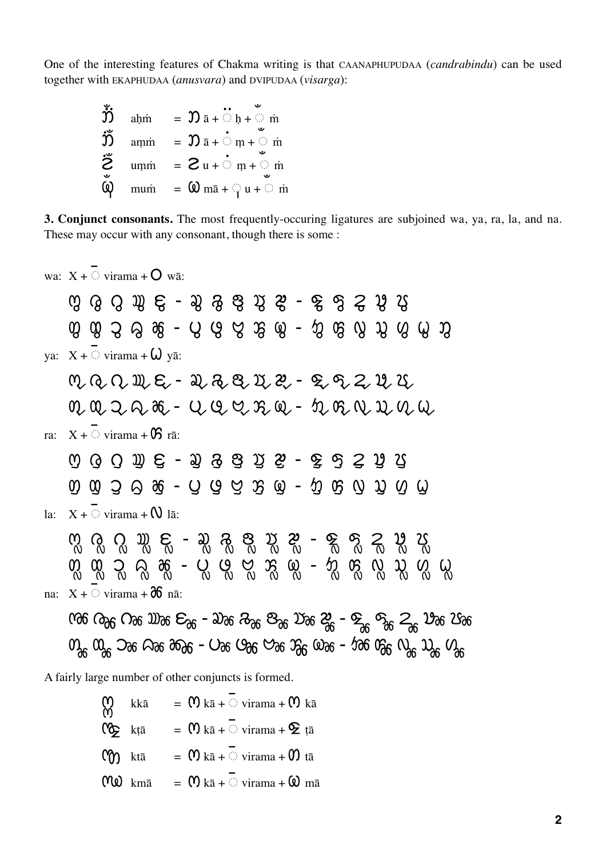One of the interesting features of Chakma writing is that CAANAPHUPUDAA (*candrabindu*) can be used together with EKAPHUDAA (*anusvara*) and DVIPUDAA (*visarga*):

| ູ້<br>ນ້ | ahm | $= \mathfrak{D} \bar{a} + \mathbb{O} h + \mathbb{O} \bar{m}$ |
|----------|-----|--------------------------------------------------------------|
| ຶ່ງງັ່   | amm | $= \mathfrak{D} \bar{a} + \mathbb{O} m + \mathbb{O} \bar{m}$ |
| ۊ        | umm | $=$ 2 u + $\odot$ m + $\odot$ m                              |
| ω        |     | mum = $\omega$ ma + $\omega$ u + $\omega$ m                  |

**3. Conjunct consonants.** The most frequently-occuring ligatures are subjoined wa, ya, ra, la, and na. These may occur with any consonant, though there is some :

wa:  $X + \overline{S}$  virama +  $\overline{O}$  wā:

 $(2)$  - ya:  $X + \overline{S}$  virama +  $\omega$  yā: - - - ra:  $X + \overline{S}$  virama +  $\mathbf{0}$  rā: - -  $0.003 \oplus 0.066 - 0.066 \oplus 0.066 \oplus 0.0660 \oplus 0.0660$ la:  $X + \overline{O}$  virama +  $\Omega$  lā:  $\mathcal{R}_0$   $\mathcal{R}_1$   $\mathcal{R}_2$   $\mathcal{R}_3$   $\mathcal{R}_4$   $\mathcal{R}_5$   $\mathcal{R}_6$   $\mathcal{R}_7$   $\mathcal{R}_8$   $\mathcal{R}_7$   $\mathcal{R}_8$   $\mathcal{R}_9$   $\mathcal{R}_9$   $\mathcal{R}_9$   $\mathcal{R}_9$   $\mathcal{R}_9$   $\mathcal{R}_9$   $\mathcal{R}_9$   $\mathcal{R}_9$   $\mathcal{R}_9$   $\mathcal{R}_9$   $\mathcal{R}_9$  - na:  $X + \circ \text{virama} + \partial \theta$  nā:  $\cos \alpha_0$   $\cos \alpha_0$   $\cos \alpha_0$   $\cos \alpha_0$   $\cos \alpha_0$   $\cos \alpha_0$   $\cos \alpha_0$   $\cos \alpha_0$   $\cos \alpha_0$  $\omega_{\rm ac}$   $\omega_{\rm ac}$   $\omega_{\rm ac}$   $\omega_{\rm ac}$  and  $\omega_{\rm ac}$   $\omega_{\rm ac}$   $\omega_{\rm ac}$   $\omega_{\rm ac}$   $\omega_{\rm ac}$   $\omega_{\rm ac}$   $\omega_{\rm ac}$   $\omega_{\rm ac}$   $\omega_{\rm ac}$   $\omega_{\rm ac}$   $\omega_{\rm ac}$   $\omega_{\rm ac}$   $\omega_{\rm ac}$   $\omega_{\rm ac}$   $\omega_{\rm ac}$   $\omega_{\rm ac}$   $\omega_{\rm ac}$   $\omega_{\rm ac$ 

A fairly large number of other conjuncts is formed.

| $\begin{array}{ll}\n \mathbf{M} & k\overline{a} \\  \mathbf{M} & \mathbf{M} \n \end{array}$ \n       | =                                                                                                    | $\mathbf{M} \times \overline{a} + \overline{b} \times \overline{b} \times \overline{b}$              | $\mathbf{M} \times \overline{a}$                                                                     |                                                                                                      |                                                                                                      |                                                                                                      |
|------------------------------------------------------------------------------------------------------|------------------------------------------------------------------------------------------------------|------------------------------------------------------------------------------------------------------|------------------------------------------------------------------------------------------------------|------------------------------------------------------------------------------------------------------|------------------------------------------------------------------------------------------------------|------------------------------------------------------------------------------------------------------|
| $\mathbf{M} \times \overline{a} = \mathbf{M} \times \overline{a} + \overline{b} \times \overline{b}$ | $\mathbf{M} \times \overline{a} = \mathbf{M} \times \overline{a} + \overline{b} \times \overline{b}$ | $\mathbf{M} \times \overline{a} = \mathbf{M} \times \overline{a} + \overline{b} \times \overline{b}$ | $\mathbf{M} \times \overline{a} = \mathbf{M} \times \overline{a} + \overline{b} \times \overline{b}$ | $\mathbf{M} \times \overline{a} = \mathbf{M} \times \overline{a} + \overline{b} \times \overline{b}$ | $\mathbf{M} \times \overline{a} = \mathbf{M} \times \overline{a} + \overline{b} \times \overline{b}$ | $\mathbf{M} \times \overline{a} = \mathbf{M} \times \overline{a} + \overline{b} \times \overline{b}$ |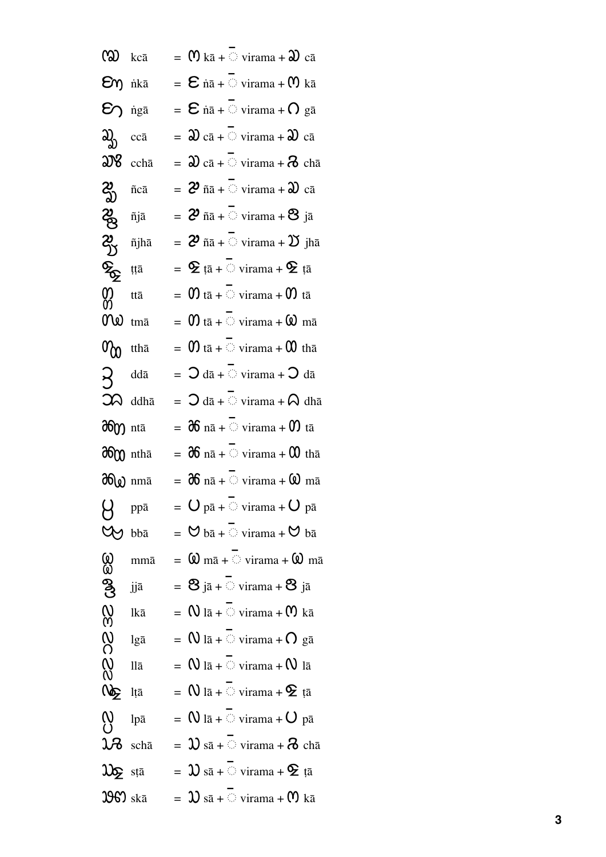| $\omega$ kcā                                                |                     | $=$ (0) kā + virama + $\mathfrak{D}$ cā                                                        |
|-------------------------------------------------------------|---------------------|------------------------------------------------------------------------------------------------|
| $\epsilon$ ng nikā                                          |                     | $=$ $\epsilon$ nā + $\circ$ virama + $\alpha$ kā                                               |
| $\epsilon$ igā                                              |                     | $=$ $\epsilon$ nā + $\circ$ virama + $\Omega$ gā                                               |
| ಖ್ಯ                                                         | ccā                 | $=$ $\mathfrak{D}$ cā + $\circ$ virama + $\mathfrak{D}$ cā                                     |
| $\mathfrak{W}$ ccha                                         |                     | $\mathfrak{D}$ cā + $\odot$ virama + $\mathfrak{D}$ chā                                        |
| $\mathcal{Z}_{\mathfrak{D}}^{\mathfrak{p}}$ n <sup>ca</sup> |                     | $= 2^{\delta}$ ñā + virama + $\mathfrak{D}$ cā                                                 |
| 2 <sub>8</sub> ñjā                                          |                     | $=$ $2^{\circ}$ ñā + $\circ$ virama + $8$ jā                                                   |
| ಬ್ಸೆ                                                        | ñjhā                | $=$ 2 $\tilde{n}$ $\tilde{n}$ + $\heartsuit$ virama + $\mathfrak V$ jha                        |
| ర్మ                                                         | țțā                 | $=$ $\mathbf{\mathbf{\Sigma}}$ tā + $\circlearrowright$ virama + $\mathbf{\mathbf{\Sigma}}$ tā |
| <u>က္က</u>                                                  | ttā                 | $\mathbf{0}$ tā + $\odot$ virama + $\mathbf{0}$ tā                                             |
| Ne                                                          | tmā                 | $\mathbf{0}$ tā + $\odot$ virama + $\mathbf{\Omega}$ mā                                        |
| $\sigma_{\rm{CD}}$ ttha                                     |                     | $=$ 0 tā + $\circ$ virama + 0 thā                                                              |
| ヌ                                                           | ddā                 | $=$ $\mathcal{O}$ dā + $\heartsuit$ virama + $\mathcal{O}$ dā                                  |
|                                                             | $\mathfrak{D}$ ddhā | $=$ $\bigcirc$ dā + $\odot$ virama + $\bigcirc$ dhā                                            |
| <b>Hero</b> ntā                                             |                     | $=$ $\partial 6$ nā + $\odot$ virama + $\sigma$ tā                                             |
| dom ntha                                                    |                     | $=$ $\partial 6$ nā + $\odot$ virama + $00$ thā                                                |
| <b>36</b> mmā                                               |                     | $=$ $\partial 6$ nā + virama + $\omega$ mā                                                     |
| $\beta$                                                     | ppā                 | $=$ $\,$ $\bigcup$ pā + $\bigcirc$ virama + $\bigcirc$ pā                                      |
| YY                                                          | bbā                 | $=$ $\heartsuit$ bā + $\heartsuit$ virama + $\heartsuit$ bā                                    |
| <u>(0)</u><br>@                                             | mmā                 | $=$ $\omega$ mā + $\circ$ virama + $\omega$ mā                                                 |
| ၛၟ                                                          | jjā                 | $=$ 8 jā + virama + 8 jā                                                                       |
|                                                             | lkā                 | $=$ $\mathsf{N}$ lā + $\heartsuit$ virama + $\mathsf{M}$ kā                                    |
|                                                             | lgā                 | $=$ $\mathsf{W}$ lā + $\heartsuit$ virama + $\mathsf{O}$ gā                                    |
| 22023                                                       | llā                 | $=$ $\mathsf{N}$ lā + $\heartsuit$ virama + $\mathsf{N}$ lā                                    |
| Ng ltā                                                      |                     | $=$ $\mathsf{N}$ lā + $\heartsuit$ virama + $\mathsf{\Phi}$ țā                                 |
| $\sum_{i=1}^{n}$                                            | lpā                 | $=$ $\sqrt{a}$ lā + $\odot$ virama + $\sqrt{a}$ pā                                             |
| $\mathcal{R}$                                               | schā                | $=$ $\mathfrak{D}$ sā + virama + $\mathfrak{D}$ chā                                            |
| $\mathfrak{D}_{\mathbf{\Sigma}}$ sta                        |                     | $=$ $\mathfrak{D}$ sā + $\circlearrowright$ virama + $\mathfrak{D}$ tā                         |
| $3969$ skā                                                  |                     | $=$ $\mathfrak{D}$ sā + $\circlearrowright$ virama + $\mathfrak{M}$ kā                         |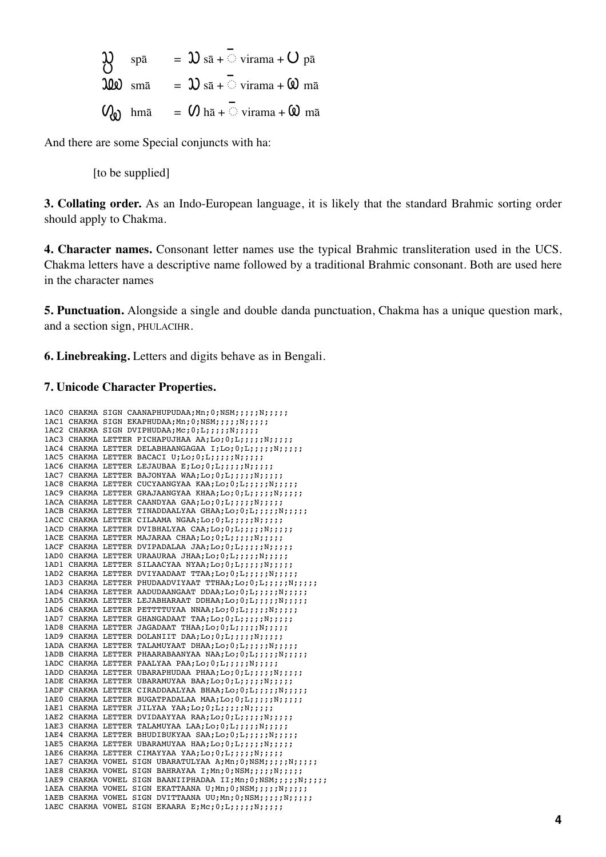| $\mathbf{1}$ | $\mathbf{1}$ | $\mathbf{1}$ | $\mathbf{1}$ | $\mathbf{1}$ |
|--------------|--------------|--------------|--------------|--------------|
| $\mathbf{1}$ | $\mathbf{1}$ | $\mathbf{1}$ |              |              |
| $\mathbf{1}$ | $\mathbf{1}$ | $\mathbf{1}$ |              |              |
| $\mathbf{1}$ | $\mathbf{1}$ |              |              |              |
| $\mathbf{1}$ | $\mathbf{1}$ |              |              |              |
| $\mathbf{1}$ | $\mathbf{1}$ |              |              |              |
| $\mathbf{1}$ | $\mathbf{1}$ |              |              |              |
| $\mathbf{1}$ | $\mathbf{1}$ |              |              |              |
| $\mathbf{1}$ | $\mathbf{1}$ |              |              |              |
| $\mathbf{1}$ | $\mathbf{1}$ |              |              |              |
| $\mathbf{1}$ | $\mathbf{1}$ |              |              |              |
| $\mathbf{1}$ | $\mathbf{1}$ |              |              |              |
| $\mathbf{1}$ | $\mathbf{1}$ |              |              |              |
| $\mathbf{1}$ | $\mathbf{1}$ |              |              |              |
| $\mathbf{1}$ | $\mathbf{1}$ |              |              |              |
| $\mathbf{1}$ | $\mathbf{1}$ |              |              |              |
| $\mathbf{1}$ | $\mathbf{1}$ |              |              |              |
| $\mathbf{1}$ | $\mathbf{1}$ |              |              |              |
| $\mathbf{1}$ | $\mathbf{1}$ |              |              |              |
| $\mathbf{1}$ | $\mathbf{$   |              |              |              |

And there are some Special conjuncts with ha:

[to be supplied]

**3. Collating order.** As an Indo-European language, it is likely that the standard Brahmic sorting order should apply to Chakma.

**4. Character names.** Consonant letter names use the typical Brahmic transliteration used in the UCS. Chakma letters have a descriptive name followed by a traditional Brahmic consonant. Both are used here in the character names

**5. Punctuation.** Alongside a single and double danda punctuation, Chakma has a unique question mark, and a section sign, PHULACIHR.

**6. Linebreaking.** Letters and digits behave as in Bengali.

#### **7. Unicode Character Properties.**

```
1AC0 CHAKMA SIGN CAANAPHUPUDAA; Mn; 0; NSM;;;;; N;;;;;;
1AC1 CHAKMA SIGN EKAPHUDAA; Mn; 0; NSM; ;;;; ; N;;;;;
1AC2 CHAKMA SIGN DVIPHUDAA; Mc; 0; L;;;;;; N;;;;;;
1AC3 CHAKMA LETTER PICHAPUJHAA AA;Lo;0;L;;;;;;N;;;;;
1AC4 CHAKMA LETTER DELABHAANGAGAA I;Lo;0;L;;;;;;;;;;;;;
1AC5 CHAKMA LETTER BACACI U;Lo;0;L;;;;;;N;;;;;
1AC6 CHAKMA LETTER LEJAUBAA E;Lo;0;L;;;;;;;;;;;;;
1AC7 CHAKMA LETTER BAJONYAA WAA;Lo;0;L;;;;;;N;;;;;
1AC8 CHAKMA LETTER CUCYAANGYAA KAA;Lo;0;L;;;;;N;;;;;
1AC9 CHAKMA LETTER GRAJAANGYAA KHAA;Lo;0;L;;;;;;;;;;;;
1ACA CHAKMA LETTER CAANDYAA GAA;Lo;0;L;;;;;;;;;;;;
1ACB CHAKMA LETTER TINADDAALYAA GHAA;Lo;0;L;;;;;;N;;;;;
1ACC CHAKMA LETTER CILAAMA NGAA;Lo;0;L;;;;;N;;;;;
1ACD CHAKMA LETTER DVIBHALYAA CAA;Lo;0;L;;;;;N;;;;;;
1ACE CHAKMA LETTER MAJARAA CHAA;Lo;0;L;;;;;;;;;;;;
1ACF CHAKMA LETTER DVIPADALAA JAA;Lo;0;L;;;;;N;;;;;
1AD0 CHAKMA LETTER URAAURAA JHAA;Lo;0;L;;;;;;N;;;;;
1AD1 CHAKMA LETTER SILAACYAA NYAA;Lo;0;L;;;;;;N;;;;;
1AD2 CHAKMA LETTER DVIYAADAAT TTAA;Lo;0;L;;;;;N;;;;;;
1AD3 CHAKMA LETTER PHUDAADVIYAAT TTHAA;Lo;0;L;;;;;;;;;;;;;;
1AD4 CHAKMA LETTER AADUDAANGAAT DDAA;Lo;0;L;;;;;N;;;;;
1AD5 CHAKMA LETTER LEJABHARAAT DDHAA;Lo;0;L;;;;;N;;;;;
1AD6 CHAKMA LETTER PETTTTUYAA NNAA;Lo;0;L;;;;;N;;;;;
1AD7 CHAKMA LETTER GHANGADAAT TAA;Lo;0;L;;;;;N;;;;;
1AD8 CHAKMA LETTER JAGADAAT THAA;Lo;0;L;;;;;N;;;;;
1AD9 CHAKMA LETTER DOLANIIT DAA;Lo;0;L;;;;;;;;;;;;;
1ADA CHAKMA LETTER TALAMUYAAT DHAA;Lo;0;L;;;;;N;;;;;
1ADB CHAKMA LETTER PHAARABAANYAA NAA;Lo;0;L;;;;;N;;;;;
1ADC CHAKMA LETTER PAALYAA PAA;Lo;0;L;;;;;;N;;;;
1ADD CHAKMA LETTER UBARAPHUDAA PHAA;Lo;0;L;;;;;;N;;;;;
1ADE CHAKMA LETTER UBARAMUYAA BAA;Lo;0;L;;;;;N;;;;;
1ADF CHAKMA LETTER CIRADDAALYAA BHAA;Lo;0;L;;;;;N;;;;;
1AE0 CHAKMA LETTER BUGATPADALAA MAA;Lo;0;L;;;;;N;;;;;
1AE1 CHAKMA LETTER JILYAA YAA;Lo;0;L;;;;;N;;;;;;
1AE2 CHAKMA LETTER DVIDAAYYAA RAA;Lo;0;L;;;;;;N;;;;;
1AE3 CHAKMA LETTER TALAMUYAA LAA;Lo;0;L;;;;;;N;;;;;
1AE4 CHAKMA LETTER BHUDIBUKYAA SAA;Lo;0;L;;;;;N;;;;;
1AE5 CHAKMA LETTER UBARAMUYAA HAA;Lo;0;L;;;;;N;;;;;
1AE6 CHAKMA LETTER CIMAYYAA YAA;Lo;0;L;;;;;;;;;;;;
1AE7 CHAKMA VOWEL SIGN UBARATULYAA A; Mn;0;NSM;;;;;N;;;;;
1AE8 CHAKMA VOWEL SIGN BAHRAYAA I;Mn;0;NSM;;;;;N;;;;;
1AE9 CHAKMA VOWEL SIGN BAANIIPHADAA II;Mn;0;NSM;;;;;N;;;;;
1AEA CHAKMA VOWEL SIGN EKATTAANA U;Mn;0;NSM;;;;;N;;;;;
1AEB CHAKMA VOWEL SIGN DVITTAANA UU;Mn;0;NSM;;;;;;N;;;;;
1AEC CHAKMA VOWEL SIGN EKAARA E;Mc;0;L;;;;;;N;;;;;
```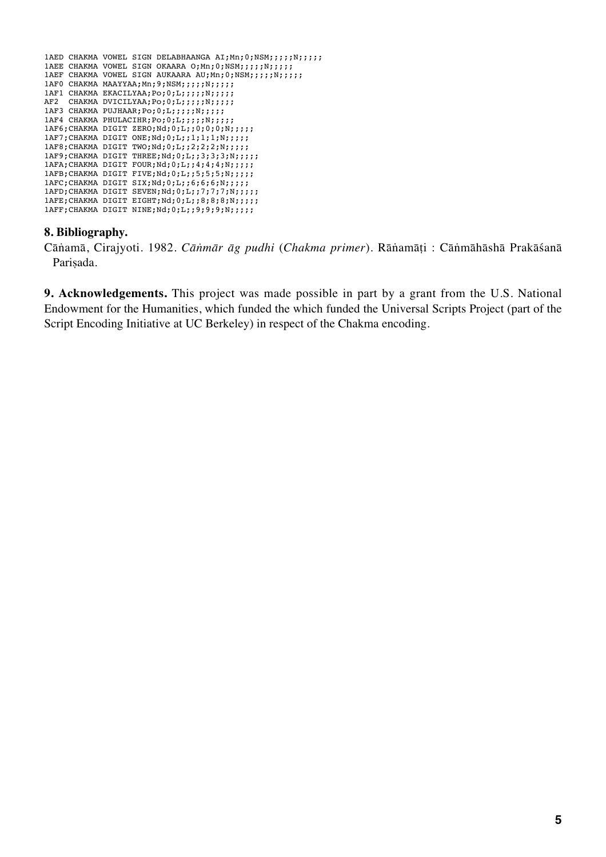```
1AED CHAKMA VOWEL SIGN DELABHAANGA AI;Mn;0;NSM;;;;;;;;;;;
1AEE CHAKMA VOWEL SIGN OKAARA 0; Mn;0; NSM;;;;;N;;;;;
1AEF CHAKMA VOWEL SIGN AUKAARA AU;Mn;0;NSM;;;;;N;;;;;
1AF0 CHAKMA MAAYYAA;Mn;9;NSM;;;;;N;;;;;
1AF1 CHAKMA EKACILYAA; Po; 0; L;;;;;;N;;;;;
AF2 CHAKMA DVICILYAA; Po; 0; L;;;;;;N;;;;;
1AF3 CHAKMA PUJHAAR; Po; 0; L;;;;;; N;;;;;
1AF4 CHAKMA PHULACIHR;Po;0;L;;;;;N;;;;;
1AF6;CHAKMA DIGIT ZERO;Nd;0;L;;0;0;0;N;;;;;;
1AF7;CHAKMA DIGIT ONE;Nd;0;L;;1;1;1;N;;;;;
1AF8;CHAKMA DIGIT TWO;Nd;0;L;;2;2;2;N;;;;;
1AF9; CHAKMA DIGIT THREE; Nd; 0; L;;3;3;3;N;;;;;;
1AFA; CHAKMA DIGIT FOUR; Nd; 0; L;; 4; 4; 4; N;;;;;
1AFB; CHAKMA DIGIT FIVE; Nd; 0; L;; 5;5;5;N;;;;;
1AFC; CHAKMA DIGIT SIX; Nd; 0; L;;6;6;6;N;;;;;;
1AFD; CHAKMA DIGIT SEVEN; Nd; 0; L;; 7; 7; 7; N;;;;;;
1AFE; CHAKMA DIGIT EIGHT; Nd; 0; L; ; 8; 8; 8; N; ;;;;;
1AFF;CHAKMA DIGIT NINE;Nd;0;L;;9;9;9;N;;;;;
```
## **8. Bibliography.**

Cāṅamā, Cirajyoti. 1982. *Cāṅmār āg pudhi* (*Chakma primer*)*.* Rāṅamāṭi : Cāṅmāhāshā Prakāśanā Parisada.

**9. Acknowledgements.** This project was made possible in part by a grant from the U.S. National Endowment for the Humanities, which funded the which funded the Universal Scripts Project (part of the Script Encoding Initiative at UC Berkeley) in respect of the Chakma encoding.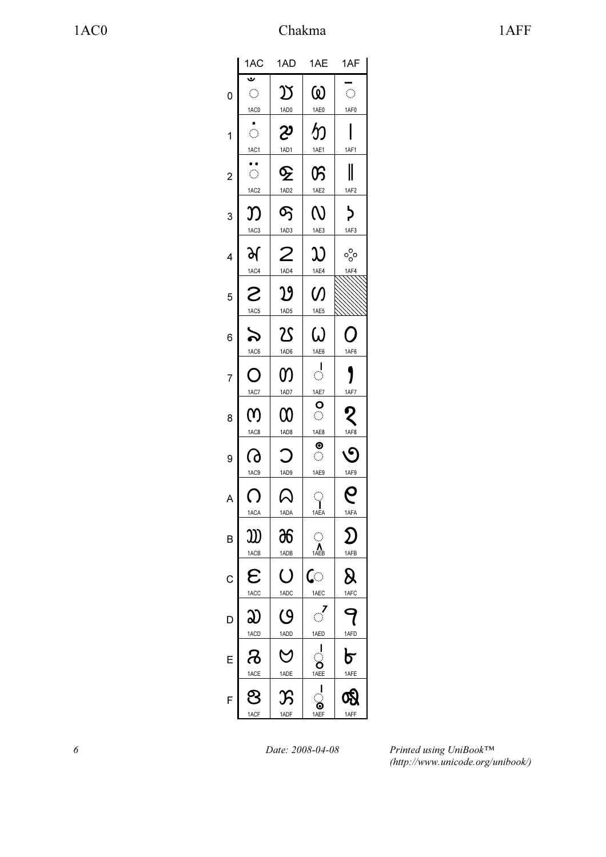|                | 1AC                                      | 1AD                                                                                                             | 1AE                                                                   | 1AF                                                                                                             |
|----------------|------------------------------------------|-----------------------------------------------------------------------------------------------------------------|-----------------------------------------------------------------------|-----------------------------------------------------------------------------------------------------------------|
| $\overline{0}$ | ڡ<br>$\hat{\mathcal{C}}$<br>1AC0         | $\mathfrak V$<br>1AD0                                                                                           | ω<br>1AE0                                                             | $\hat{\mathcal{C}}$<br>1AF0                                                                                     |
| 1              | $\hat{\mathcal{L}}$                      | 29                                                                                                              | か                                                                     |                                                                                                                 |
| $\overline{c}$ | 1AC1<br>$\bullet$<br>$\hat{\mathcal{L}}$ | 1AD1<br>$\mathbf{\mathbf{\Phi}}$                                                                                | 1AE1<br>ß                                                             | 1AF1<br>$\parallel$                                                                                             |
| 3              | 1AC <sub>2</sub><br>Ŋ                    | 1AD <sub>2</sub><br>တြ                                                                                          | 1AE2<br>$\overline{\mathsf{N}}$                                       | 1AF2<br>$\overline{b}$                                                                                          |
| 4              | 1AC <sub>3</sub><br>र्भ                  | 1AD3<br>2                                                                                                       | 1AE3<br>ည                                                             | 1AF3<br>್ಧೆಂ                                                                                                    |
| 5              | 1AC4<br>S                                | 1AD4<br>$\mathfrak{B}% _{T}=\mathfrak{B}_{T}\!\left( a,b\right) ,\ \mathfrak{B}_{T}=C_{T}\!\left( a,b\right) ,$ | 1AE4<br>$\mathcal{O}$                                                 | 1AF4                                                                                                            |
| 6              | 1AC5<br>$\bm{\mathcal{S}}$               | 1AD5<br>$\overline{\mathfrak{L}}$                                                                               | 1AE5<br>ω                                                             | O                                                                                                               |
| 7              | 1AC6<br>Ō                                | 1AD6<br>M                                                                                                       | 1AE6<br>$\frac{1}{\sqrt{2}}$                                          | 1AF6                                                                                                            |
| 8              | 1AC7<br>(Y)                              | 1AD7<br>$\boldsymbol{\mathsf{\Omega}}$                                                                          | 1AE7<br>$\frac{1}{2}$                                                 | 1AF7<br>$\overline{\mathcal{L}}$                                                                                |
| 9              | 1AC <sub>8</sub><br>ᢙ                    | 1AD8<br>$\bigcirc$                                                                                              | 1AE8<br>$\frac{\bullet}{\circ}$                                       | 1AF8<br>$\mathcal{O}$                                                                                           |
| A              | 1AC9<br>$\bigcirc$                       | 1AD9<br>$\mathsf{\Omega}$                                                                                       | 1AE9<br>ှ<br>1AEA                                                     | $\overline{\mathbf{e}}$<br>1AFA                                                                                 |
| B              | 1ACA<br>W                                | 1ADA<br>96                                                                                                      | $\mathbb{C}$<br>$\sum_{1A\in B}$                                      | $\mathfrak{D}% _{T}=\mathfrak{D}_{T}\!\left( a,b\right) ,\ \mathfrak{D}_{T}=C_{T}\!\left( a,b\right) ,$<br>1AFB |
| $\mathsf{C}$   | 1ACB<br>$\boldsymbol{\varepsilon}$       | 1ADB<br>$\overline{\textsf{O}}$                                                                                 | ে                                                                     | $\pmb{\mathsf{R}}$                                                                                              |
| D              | 1ACC<br>ည                                | 1ADC<br>$\overline{\mathcal{O}}$                                                                                | 1AEC<br>ऺ                                                             | 1AFC<br>9                                                                                                       |
| E              | 1ACD<br>෬                                | 1ADD<br>$\bm{\heartsuit}$                                                                                       | 1AED<br>$\begin{array}{c}\n\bullet \\ \bullet \\ \hline\n\end{array}$ | 1AFD<br>৮                                                                                                       |
| F              | 1ACE<br>.<br>ප<br>1ACF                   | 1ADE<br>$\mathcal{E}% _{M_{1},M_{2}}^{\alpha,\beta}(\varepsilon)$<br>1ADF                                       | $\frac{1}{C}$<br>0<br>1AEF                                            | 1AFE<br>෯<br>1AFF                                                                                               |
|                |                                          |                                                                                                                 |                                                                       |                                                                                                                 |

6 Date: 2008-04-08

Printed using UniBook™ (http://www.unicode.org/unibook/)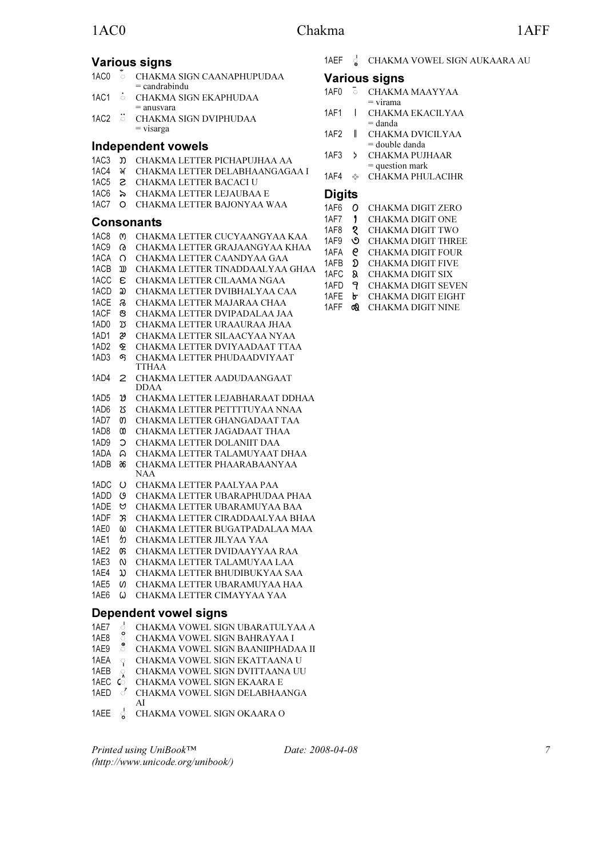# Various signs

| 1AC0 | $\sim$<br>$\circ$ 0 $\circ$ | CHAKMA SIGN CAANAPHUPUDAA |
|------|-----------------------------|---------------------------|
|      |                             | $=$ candrabindu           |
| 1AC1 |                             | CHAKMA SIGN EKAPHUDAA     |

- = anusvara
- 1AC2 \$᫂ CHAKMA SIGN DVIPHUDAA = visarga

## Independent vowels

- 1AC3  $\overline{D}$  CHAKMA LETTER PICHAPUJHAA AA
- 1AC4 ᫄ CHAKMA LETTER DELABHAANGAGAA I
- 1AC5 **2** CHAKMA LETTER BACACI U
- 1AC6  $\triangleright$  CHAKMA LETTER LEJAUBAA E
- 1AC7 O CHAKMA LETTER BAJONYAA WAA

### Consonants

- 1AC8 ᫈ CHAKMA LETTER CUCYAANGYAA KAA 1AC9 ᫉ CHAKMA LETTER GRAJAANGYAA KHAA 1ACA O CHAKMA LETTER CAANDYAA GAA
- 1ACB ᫋ CHAKMA LETTER TINADDAALYAA GHAA
- 1ACC  $\epsilon$  CHAKMA LETTER CILAAMA NGAA
- 1ACD  $\omega$  CHAKMA LETTER DVIBHALYAA CAA
- 1ACE **&** CHAKMA LETTER MAJARAA CHAA
- 1ACF CHAKMA LETTER DVIPADALAA JAA
- 1AD0  $\,$   $\,$  CHAKMA LETTER URAAURAA JHAA
- 1AD1  $\mathcal{C}$  CHAKMA LETTER SILAACYAA NYAA
- 1AD2 CHAKMA LETTER DVIYAADAAT TTAA 1AD3 CHAKMA LETTER PHUDAADVIYAAT
- TTHAA 1AD4 CHAKMA LETTER AADUDAANGAAT
- DDAA
- 1AD5  $\mathfrak V$  CHAKMA LETTER LEJABHARAAT DDHAA
- 1AD6 CHAKMA LETTER PETTTTUYAA NNAA
- 1AD7 CHAKMA LETTER GHANGADAAT TAA 1AD8 CHAKMA LETTER JAGADAAT THAA
- 1AD9 CHAKMA LETTER DOLANIIT DAA
- 1ADA CHAKMA LETTER TALAMUYAAT DHAA
- 1ADB CHAKMA LETTER PHAARABAANYAA
- NAA
- 1ADC CHAKMA LETTER PAALYAA PAA
- 1ADD CHAKMA LETTER UBARAPHUDAA PHAA
- 1ADE CHAKMA LETTER UBARAMUYAA BAA
- 1ADF CHAKMA LETTER CIRADDAALYAA BHAA 1AE0 CHAKMA LETTER BUGATPADALAA MAA
- 1AE1  $b$  CHAKMA LETTER JILYAA YAA
- 1AE2 CHAKMA LETTER DVIDAAYYAA RAA
- 1AE3 CHAKMA LETTER TALAMUYAA LAA
- 1AE4  $\omega$  CHAKMA LETTER BHUDIBUKYAA SAA
- 1AE5 CHAKMA LETTER UBARAMUYAA HAA
- 1AE6 CHAKMA LETTER CIMAYYAA YAA

# Dependent vowel signs

- 1AE7 **& CHAKMA VOWEL SIGN UBARATULYAA A**
- 1AE8 <sup>S</sup> CHAKMA VOWEL SIGN BAHRAYAA I 1AE9 S CHAKMA VOWEL SIGN BAANIIPHAD.
- CHAKMA VOWEL SIGN BAANIIPHADAA II
- 1AEA  $\circ$  CHAKMA VOWEL SIGN EKATTAANA U<br>1AEB  $\circ$  CHAKMA VOWEL SIGN DVITTAANA UU
- CHAKMA VOWEL SIGN DVITTAANA UU
- 1AEC  $\ddot{\mathbf{C}}$  CHAKMA VOWEL SIGN EKAARA E
- 1AED & CHAKMA VOWEL SIGN DELABHAANGA AI
- 1AEE  $\int$  CHAKMA VOWEL SIGN OKAARA O

Date: 2008-04-08 7

1AEF & CHAKMA VOWEL SIGN AUKAARA AU

#### Various signs

| 1AF0     | $\circ$ 0 | CHAKMA MAAYYAA                                                                                                                                                                                                                                                                                                                                                                                                                                                                                                                                        |
|----------|-----------|-------------------------------------------------------------------------------------------------------------------------------------------------------------------------------------------------------------------------------------------------------------------------------------------------------------------------------------------------------------------------------------------------------------------------------------------------------------------------------------------------------------------------------------------------------|
|          |           | $=$ virama                                                                                                                                                                                                                                                                                                                                                                                                                                                                                                                                            |
| 1 A IT 1 |           | $\begin{array}{c} \begin{array}{c} \end{array} \begin{array}{c} \end{array} \begin{array}{c} \end{array} \begin{array}{c} \end{array} \begin{array}{c} \end{array} \begin{array}{c} \end{array} \begin{array}{c} \end{array} \begin{array}{c} \end{array} \begin{array}{c} \end{array} \begin{array}{c} \end{array} \begin{array}{c} \end{array} \begin{array}{c} \end{array} \begin{array}{c} \end{array} \begin{array}{c} \end{array} \begin{array}{c} \end{array} \begin{array}{c} \end{array} \begin{array}{c} \end{array} \begin{array}{c} \end$ |

- 1AF1 CHAKMA EKACILYAA = danda
- 1AF2 CHAKMA DVICILYAA = double danda
- 1AF3 > CHAKMA PUJHAAR = question mark
- 1AF4 CHAKMA PHULACIHR

#### **Digits**

- 1AF6 O CHAKMA DIGIT ZERO
- 1AF7 **CHAKMA DIGIT ONE**
- 1AF8 CHAKMA DIGIT TWO
- 1AF9 **O** CHAKMA DIGIT THREE
- 1AFA **Q** CHAKMA DIGIT FOUR
- 1AFB  $\Omega$  CHAKMA DIGIT FIVE
- 1AFC & CHAKMA DIGIT SIX
- 1AFD 9 CHAKMA DIGIT SEVEN 1AFE **b** CHAKMA DIGIT EIGHT
- 1AFF **Q** CHAKMA DIGIT NINE

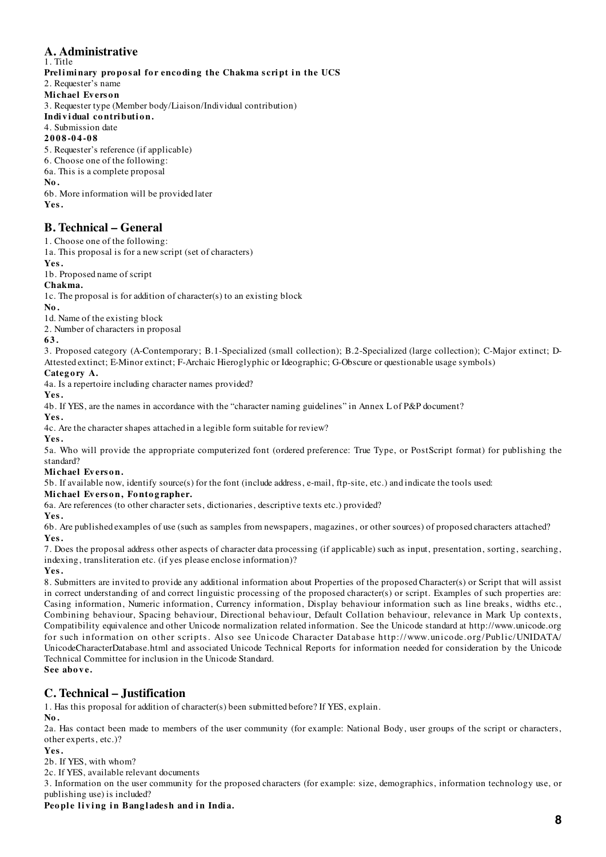#### **A. Administrative** 1. Title

Preliminary proposal for encoding the Chakma script in the UCS

2. Requester's name

**Mi chael Ev ers o n**

3. Requester type (Member body/Liaison/Individual contribution)

Individual contribution.

4. Submission date

#### **2008-04-08**

5. Requester's reference (if applicable)

6. Choose one of the following:

6a. This is a complete proposal

**No.**

6b. More information will be provided later

**Yes.**

# **B. Technical – General**

1. Choose one of the following:

1a. This proposal is for a new script (set of characters)

**Yes.**

1b. Proposed name of script

# **Chakma.**

1c. The proposal is for addition of character(s) to an existing block

**No.**

1d. Name of the existing block

2. Number of characters in proposal

#### **63.**

3. Proposed category (A-Contemporary; B.1-Specialized (small collection); B.2-Specialized (large collection); C-Major extinct; D-Attested extinct; E-Minor extinct; F-Archaic Hieroglyphic or Ideographic; G-Obscure or questionable usage symbols)

#### Category A.

4a. Is a repertoire including character names provided?

**Yes.**

4b. If YES, are the names in accordance with the "character naming guidelines" in Annex L of P&P document?

**Yes.**

4c. Are the character shapes attached in a legible form suitable for review?

**Yes.**

5a. Who will provide the appropriate computerized font (ordered preference: True Type, or PostScript format) for publishing the standard?

#### **Mi chael Ev ers o n.**

5b. If available now, identify source(s) for the font (include address, e-mail, ftp-site, etc.) and indicate the tools used:

#### **Mi chael Ev ers o n, Fo nto g rapher.**

6a. Are references (to other character sets, dictionaries, descriptive texts etc.) provided?

**Yes.**

6b. Are published examples of use (such as samples from newspapers, magazines, or other sources) of proposed characters attached? **Yes.**

7. Does the proposal address other aspects of character data processing (if applicable) such as input, presentation, sorting, searching, indexing, transliteration etc. (if yes please enclose information)?

**Yes.**

8. Submitters are invited to provide any additional information about Properties of the proposed Character(s) or Script that will assist in correct understanding of and correct linguistic processing of the proposed character(s) or script. Examples of such properties are: Casing information, Numeric information, Currency information, Display behaviour information such as line breaks, widths etc., Combining behaviour, Spacing behaviour, Directional behaviour, Default Collation behaviour, relevance in Mark Up contexts, Compatibility equivalence and other Unicode normalization related information. See the Unicode standard at http://www.unicode.org for such information on other scripts. Also see Unicode Character Database http://www. unicode. org/Public/UNIDATA/ UnicodeCharacterDatabase.html and associated Unicode Technical Reports for information needed for consideration by the Unicode Technical Committee for inclusion in the Unicode Standard.

# **See above.**

# **C. Technical – Justification**

1. Has this proposal for addition of character(s) been submitted before? If YES, explain.

**No.**

2a. Has contact been made to members of the user community (for example: National Body, user groups of the script or characters, other experts, etc.)?

#### **Yes.**

2b. If YES, with whom?

2c. If YES, available relevant documents

3. Information on the user community for the proposed characters (for example: size, demographics, information technology use, or publishing use) is included?

### People living in Bangladesh and in India.